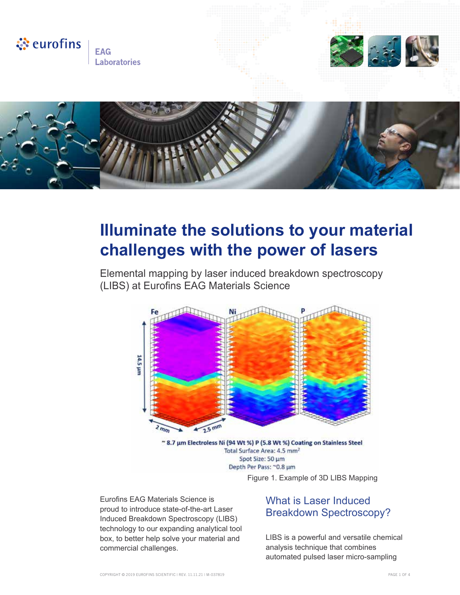

# **Illuminate the solutions to your material challenges with the power of lasers**

Elemental mapping by laser induced breakdown spectroscopy (LIBS) at Eurofins EAG Materials Science



Total Surface Area: 4.5 mm<sup>2</sup> Spot Size: 50 µm Depth Per Pass: ~0.8 µm Figure 1. Example of 3D LIBS Mapping

Eurofins EAG Materials Science is proud to introduce state-of-the-art Laser Induced Breakdown Spectroscopy (LIBS) technology to our expanding analytical tool box, to better help solve your material and commercial challenges.

#### What is Laser Induced Breakdown Spectroscopy?

LIBS is a powerful and versatile chemical analysis technique that combines automated pulsed laser micro-sampling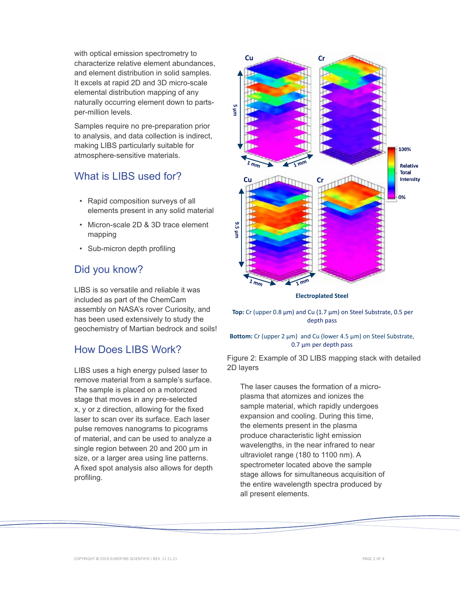with optical emission spectrometry to characterize relative element abundances, and element distribution in solid samples. It excels at rapid 2D and 3D micro-scale elemental distribution mapping of any naturally occurring element down to partsper-million levels.

Samples require no pre-preparation prior to analysis, and data collection is indirect, making LIBS particularly suitable for atmosphere-sensitive materials.

### What is LIBS used for?

- Rapid composition surveys of all elements present in any solid material
- Micron-scale 2D & 3D trace element mapping
- Sub-micron depth profiling

# Did you know?

LIBS is so versatile and reliable it was included as part of the ChemCam assembly on NASA's rover Curiosity, and has been used extensively to study the geochemistry of Martian bedrock and soils!

# How Does LIBS Work?

LIBS uses a high energy pulsed laser to remove material from a sample's surface. The sample is placed on a motorized stage that moves in any pre-selected x, y or z direction, allowing for the fixed laser to scan over its surface. Each laser pulse removes nanograms to picograms of material, and can be used to analyze a single region between 20 and 200 μm in size, or a larger area using line patterns. A fixed spot analysis also allows for depth profiling.





**Top:** Cr (upper 0.8 µm) and Cu (1.7 µm) on Steel Substrate, 0.5 per depth pass

#### Bottom: Cr (upper 2 µm) and Cu (lower 4.5 µm) on Steel Substrate, 0.7 µm per depth pass

Figure 2: Example of 3D LIBS mapping stack with detailed 2D layers

The laser causes the formation of a microplasma that atomizes and ionizes the sample material, which rapidly undergoes expansion and cooling. During this time, the elements present in the plasma produce characteristic light emission wavelengths, in the near infrared to near ultraviolet range (180 to 1100 nm). A spectrometer located above the sample stage allows for simultaneous acquisition of the entire wavelength spectra produced by all present elements.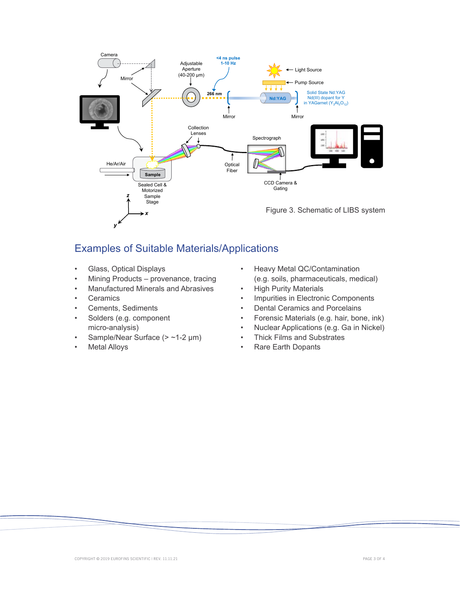

# Examples of Suitable Materials/Applications

- Glass, Optical Displays
- Mining Products provenance, tracing
- Manufactured Minerals and Abrasives
- **Ceramics**
- Cements, Sediments
- Solders (e.g. component micro-analysis)
- Sample/Near Surface (> ~1-2 µm)
- **Metal Alloys**
- Heavy Metal QC/Contamination (e.g. soils, pharmaceuticals, medical)
- **High Purity Materials**
- Impurities in Electronic Components
- Dental Ceramics and Porcelains
- Forensic Materials (e.g. hair, bone, ink)
- Nuclear Applications (e.g. Ga in Nickel)
- Thick Films and Substrates
- Rare Earth Dopants